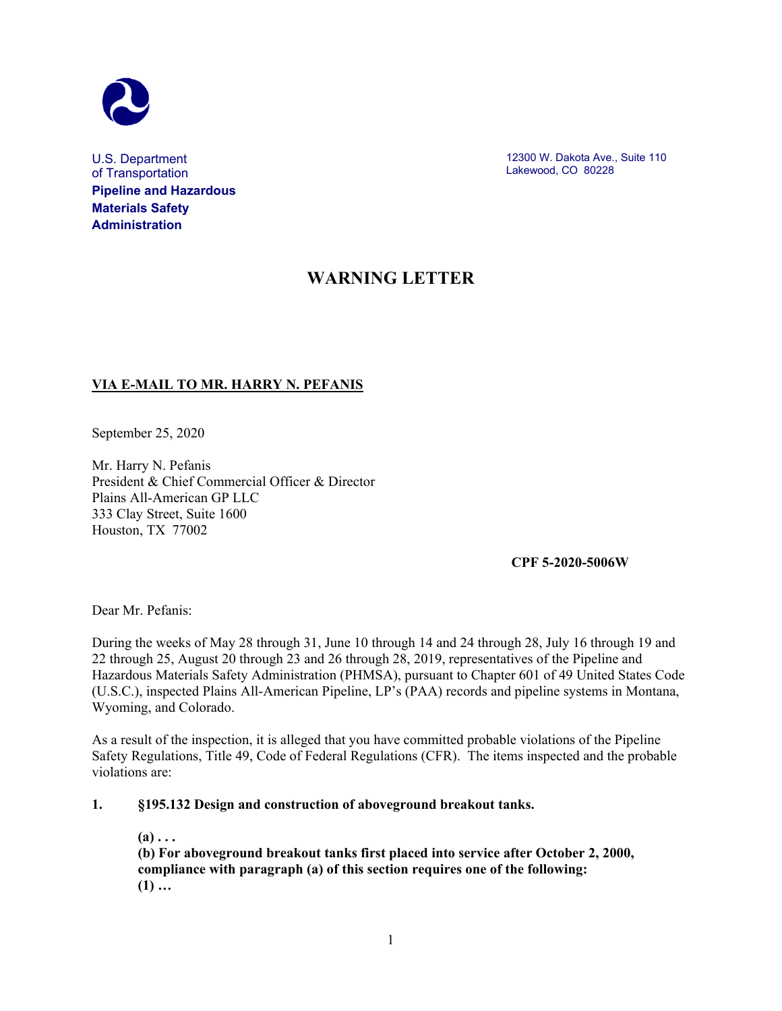

U.S. Department of Transportation **Pipeline and Hazardous Materials Safety Administration**

12300 W. Dakota Ave., Suite 110 Lakewood, CO 80228

# **WARNING LETTER**

# **VIA E-MAIL TO MR. HARRY N. PEFANIS**

September 25, 2020

Mr. Harry N. Pefanis President & Chief Commercial Officer & Director Plains All-American GP LLC 333 Clay Street, Suite 1600 Houston, TX 77002

**CPF 5-2020-5006W**

Dear Mr. Pefanis:

During the weeks of May 28 through 31, June 10 through 14 and 24 through 28, July 16 through 19 and 22 through 25, August 20 through 23 and 26 through 28, 2019, representatives of the Pipeline and Hazardous Materials Safety Administration (PHMSA), pursuant to Chapter 601 of 49 United States Code (U.S.C.), inspected Plains All-American Pipeline, LP's (PAA) records and pipeline systems in Montana, Wyoming, and Colorado.

As a result of the inspection, it is alleged that you have committed probable violations of the Pipeline Safety Regulations, Title 49, Code of Federal Regulations (CFR). The items inspected and the probable violations are:

**1. §195.132 Design and construction of aboveground breakout tanks.**

 $(a) \ldots$ 

**(b) For aboveground breakout tanks first placed into service after October 2, 2000, compliance with paragraph (a) of this section requires one of the following: (1) …**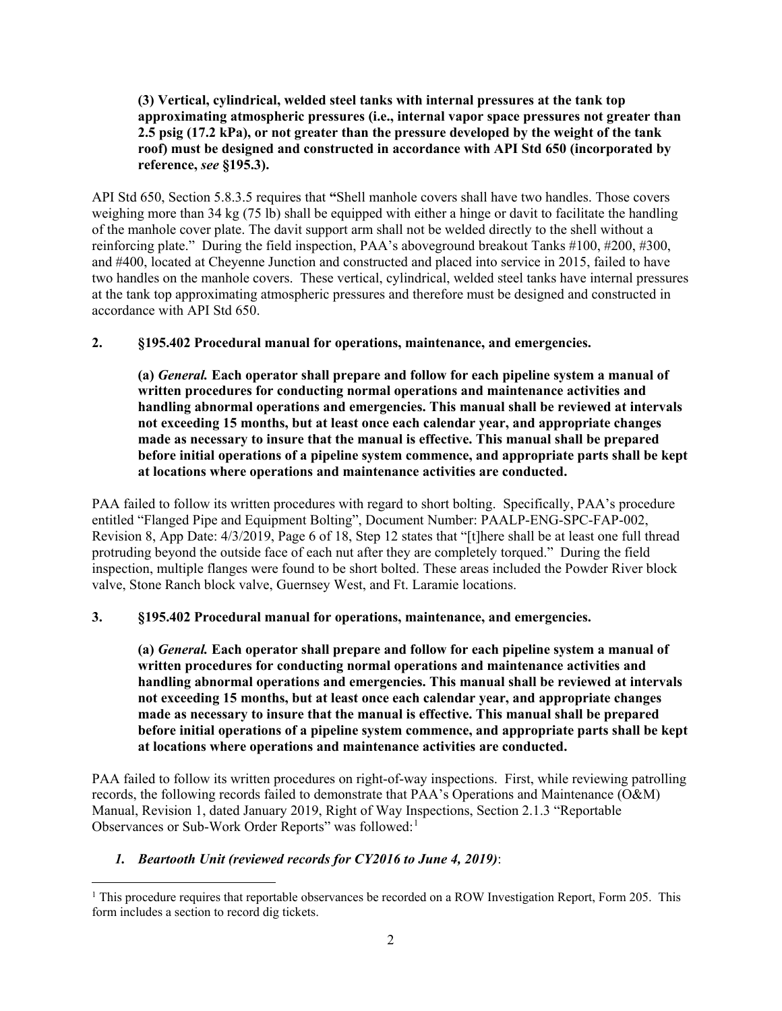## **(3) Vertical, cylindrical, welded steel tanks with internal pressures at the tank top approximating atmospheric pressures (i.e., internal vapor space pressures not greater than 2.5 psig (17.2 kPa), or not greater than the pressure developed by the weight of the tank roof) must be designed and constructed in accordance with API Std 650 (incorporated by reference,** *see* **§195.3).**

API Std 650, Section 5.8.3.5 requires that **"**Shell manhole covers shall have two handles. Those covers weighing more than 34 kg (75 lb) shall be equipped with either a hinge or davit to facilitate the handling of the manhole cover plate. The davit support arm shall not be welded directly to the shell without a reinforcing plate." During the field inspection, PAA's aboveground breakout Tanks #100, #200, #300, and #400, located at Cheyenne Junction and constructed and placed into service in 2015, failed to have two handles on the manhole covers. These vertical, cylindrical, welded steel tanks have internal pressures at the tank top approximating atmospheric pressures and therefore must be designed and constructed in accordance with API Std 650.

## **2. §195.402 Procedural manual for operations, maintenance, and emergencies.**

**(a)** *General.* **Each operator shall prepare and follow for each pipeline system a manual of written procedures for conducting normal operations and maintenance activities and handling abnormal operations and emergencies. This manual shall be reviewed at intervals not exceeding 15 months, but at least once each calendar year, and appropriate changes made as necessary to insure that the manual is effective. This manual shall be prepared before initial operations of a pipeline system commence, and appropriate parts shall be kept at locations where operations and maintenance activities are conducted.**

PAA failed to follow its written procedures with regard to short bolting. Specifically, PAA's procedure entitled "Flanged Pipe and Equipment Bolting", Document Number: PAALP-ENG-SPC-FAP-002, Revision 8, App Date: 4/3/2019, Page 6 of 18, Step 12 states that "[t]here shall be at least one full thread protruding beyond the outside face of each nut after they are completely torqued." During the field inspection, multiple flanges were found to be short bolted. These areas included the Powder River block valve, Stone Ranch block valve, Guernsey West, and Ft. Laramie locations.

### **3. §195.402 Procedural manual for operations, maintenance, and emergencies.**

**(a)** *General.* **Each operator shall prepare and follow for each pipeline system a manual of written procedures for conducting normal operations and maintenance activities and handling abnormal operations and emergencies. This manual shall be reviewed at intervals not exceeding 15 months, but at least once each calendar year, and appropriate changes made as necessary to insure that the manual is effective. This manual shall be prepared before initial operations of a pipeline system commence, and appropriate parts shall be kept at locations where operations and maintenance activities are conducted.**

PAA failed to follow its written procedures on right-of-way inspections. First, while reviewing patrolling records, the following records failed to demonstrate that PAA's Operations and Maintenance (O&M) Manual, Revision 1, dated January 2019, Right of Way Inspections, Section 2.1.3 "Reportable Observances or Sub-Work Order Reports" was followed:<sup>[1](#page-1-0)</sup>

# *1. Beartooth Unit (reviewed records for CY2016 to June 4, 2019)*:

<span id="page-1-0"></span><sup>&</sup>lt;sup>1</sup> This procedure requires that reportable observances be recorded on a ROW Investigation Report, Form 205. This form includes a section to record dig tickets.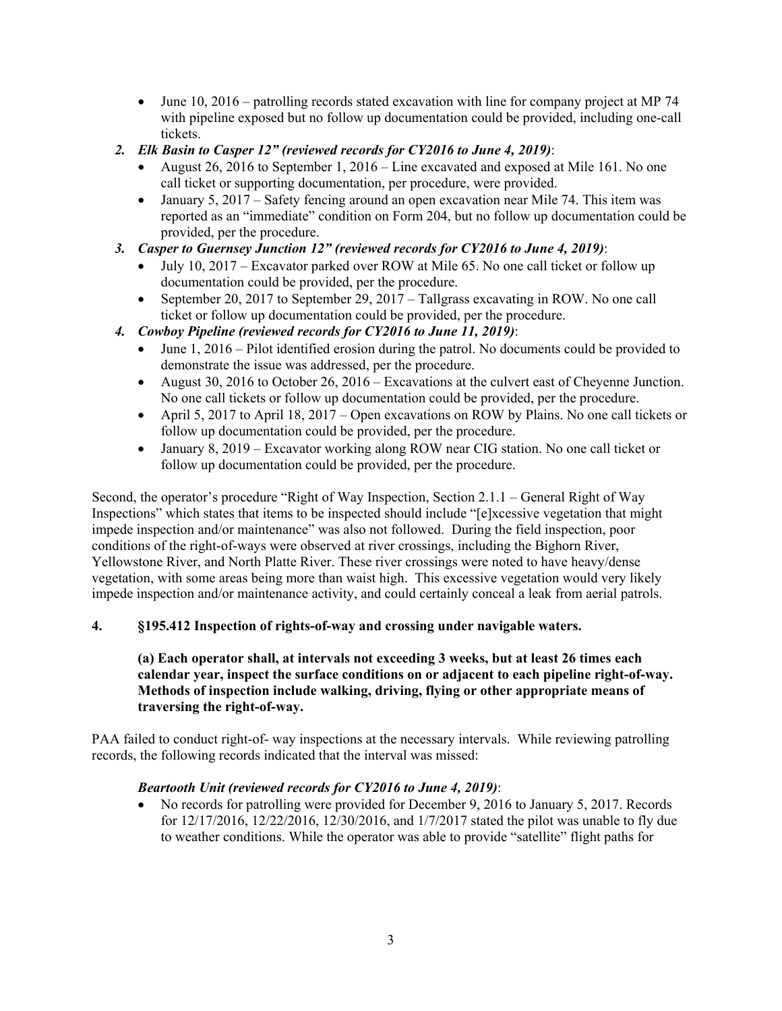- June 10, 2016 patrolling records stated excavation with line for company project at MP 74 with pipeline exposed but no follow up documentation could be provided, including one-call tickets.
- *2. Elk Basin to Casper 12" (reviewed records for CY2016 to June 4, 2019)*:
	- August 26, 2016 to September 1, 2016 Line excavated and exposed at Mile 161. No one call ticket or supporting documentation, per procedure, were provided.
	- January 5, 2017 Safety fencing around an open excavation near Mile 74. This item was reported as an "immediate" condition on Form 204, but no follow up documentation could be provided, per the procedure.
- *3. Casper to Guernsey Junction 12" (reviewed records for CY2016 to June 4, 2019)*:
	- July 10, 2017 Excavator parked over ROW at Mile 65. No one call ticket or follow up documentation could be provided, per the procedure.
	- September 20, 2017 to September 29, 2017 Tallgrass excavating in ROW. No one call ticket or follow up documentation could be provided, per the procedure.
- *4. Cowboy Pipeline (reviewed records for CY2016 to June 11, 2019)*:
	- June 1, 2016 Pilot identified erosion during the patrol. No documents could be provided to demonstrate the issue was addressed, per the procedure.
	- August 30, 2016 to October 26, 2016 Excavations at the culvert east of Cheyenne Junction. No one call tickets or follow up documentation could be provided, per the procedure.
	- April 5, 2017 to April 18, 2017 Open excavations on ROW by Plains. No one call tickets or follow up documentation could be provided, per the procedure.
	- January 8, 2019 Excavator working along ROW near CIG station. No one call ticket or follow up documentation could be provided, per the procedure.

Second, the operator's procedure "Right of Way Inspection, Section 2.1.1 – General Right of Way Inspections" which states that items to be inspected should include "[e]xcessive vegetation that might impede inspection and/or maintenance" was also not followed. During the field inspection, poor conditions of the right-of-ways were observed at river crossings, including the Bighorn River, Yellowstone River, and North Platte River. These river crossings were noted to have heavy/dense vegetation, with some areas being more than waist high. This excessive vegetation would very likely impede inspection and/or maintenance activity, and could certainly conceal a leak from aerial patrols.

### **4. §195.412 Inspection of rights-of-way and crossing under navigable waters.**

### **(a) Each operator shall, at intervals not exceeding 3 weeks, but at least 26 times each calendar year, inspect the surface conditions on or adjacent to each pipeline right-of-way. Methods of inspection include walking, driving, flying or other appropriate means of traversing the right-of-way.**

PAA failed to conduct right-of- way inspections at the necessary intervals. While reviewing patrolling records, the following records indicated that the interval was missed:

### *Beartooth Unit (reviewed records for CY2016 to June 4, 2019)*:

• No records for patrolling were provided for December 9, 2016 to January 5, 2017. Records for 12/17/2016, 12/22/2016, 12/30/2016, and 1/7/2017 stated the pilot was unable to fly due to weather conditions. While the operator was able to provide "satellite" flight paths for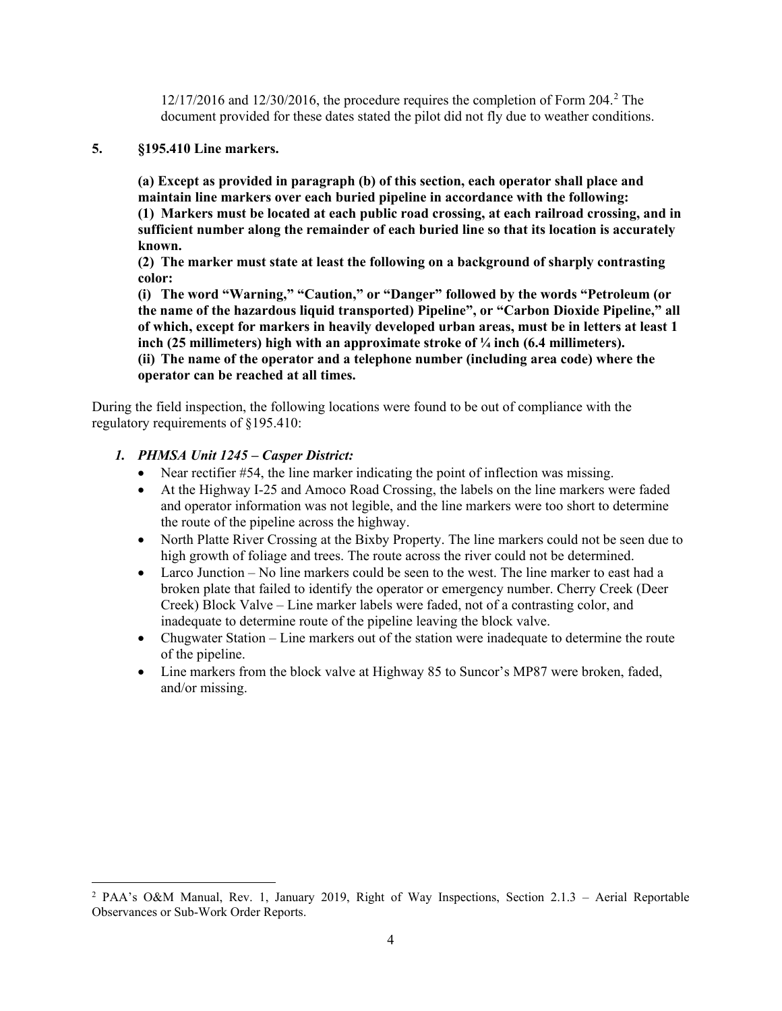$12/17/2016$  $12/17/2016$  $12/17/2016$  and  $12/30/2016$ , the procedure requires the completion of Form 204.<sup>2</sup> The document provided for these dates stated the pilot did not fly due to weather conditions.

## **5. §195.410 Line markers.**

**(a) Except as provided in paragraph (b) of this section, each operator shall place and maintain line markers over each buried pipeline in accordance with the following: (1) Markers must be located at each public road crossing, at each railroad crossing, and in sufficient number along the remainder of each buried line so that its location is accurately known.** 

**(2) The marker must state at least the following on a background of sharply contrasting color:**

**(i) The word "Warning," "Caution," or "Danger" followed by the words "Petroleum (or the name of the hazardous liquid transported) Pipeline", or "Carbon Dioxide Pipeline," all of which, except for markers in heavily developed urban areas, must be in letters at least 1 inch (25 millimeters) high with an approximate stroke of ¼ inch (6.4 millimeters). (ii) The name of the operator and a telephone number (including area code) where the** 

#### **operator can be reached at all times.**

During the field inspection, the following locations were found to be out of compliance with the regulatory requirements of §195.410:

## *1. PHMSA Unit 1245 – Casper District:*

- Near rectifier #54, the line marker indicating the point of inflection was missing.
- At the Highway I-25 and Amoco Road Crossing, the labels on the line markers were faded and operator information was not legible, and the line markers were too short to determine the route of the pipeline across the highway.
- North Platte River Crossing at the Bixby Property. The line markers could not be seen due to high growth of foliage and trees. The route across the river could not be determined.
- Larco Junction No line markers could be seen to the west. The line marker to east had a broken plate that failed to identify the operator or emergency number. Cherry Creek (Deer Creek) Block Valve – Line marker labels were faded, not of a contrasting color, and inadequate to determine route of the pipeline leaving the block valve.
- Chugwater Station Line markers out of the station were inadequate to determine the route of the pipeline.
- Line markers from the block valve at Highway 85 to Suncor's MP87 were broken, faded, and/or missing.

<span id="page-3-0"></span> <sup>2</sup> PAA's O&M Manual, Rev. 1, January 2019, Right of Way Inspections, Section 2.1.3 – Aerial Reportable Observances or Sub-Work Order Reports.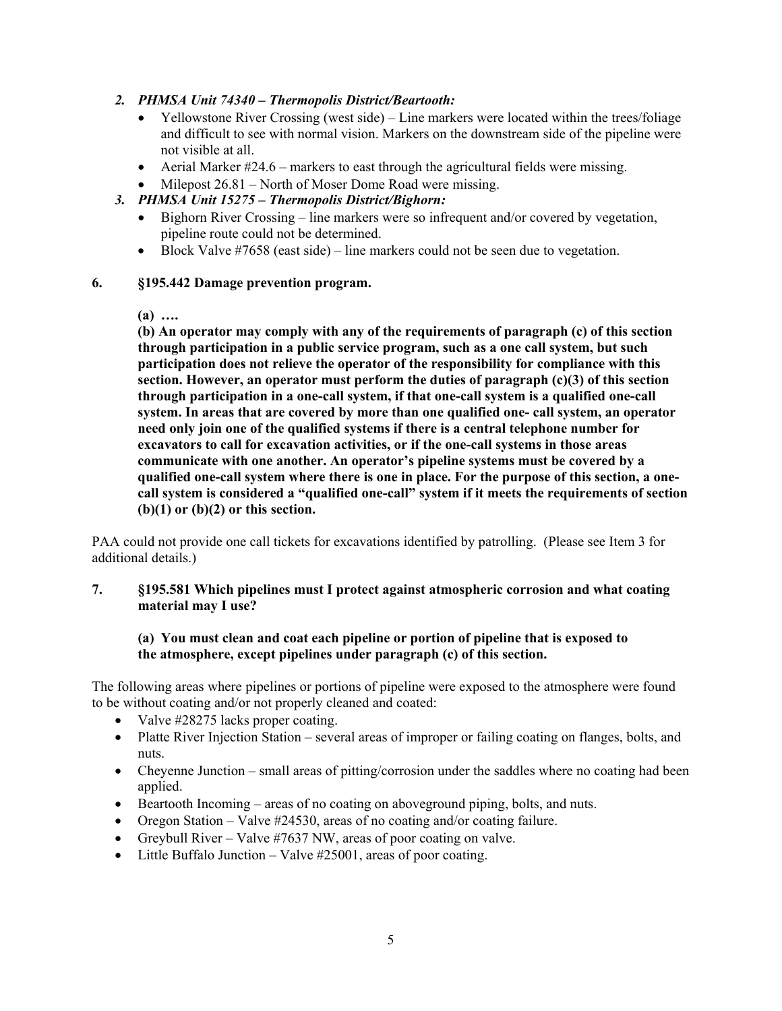## *2. PHMSA Unit 74340 – Thermopolis District/Beartooth:*

- Yellowstone River Crossing (west side) Line markers were located within the trees/foliage and difficult to see with normal vision. Markers on the downstream side of the pipeline were not visible at all.
- Aerial Marker  $\#24.6$  markers to east through the agricultural fields were missing.
- Milepost 26.81 North of Moser Dome Road were missing.

## *3. PHMSA Unit 15275 – Thermopolis District/Bighorn:*

- Bighorn River Crossing line markers were so infrequent and/or covered by vegetation, pipeline route could not be determined.
- Block Valve  $\#7658$  (east side) line markers could not be seen due to vegetation.

### **6. §195.442 Damage prevention program.**

**(a) ….**

**(b) An operator may comply with any of the requirements of paragraph (c) of this section through participation in a public service program, such as a one call system, but such participation does not relieve the operator of the responsibility for compliance with this section. However, an operator must perform the duties of paragraph (c)(3) of this section through participation in a one-call system, if that one-call system is a qualified one-call system. In areas that are covered by more than one qualified one- call system, an operator need only join one of the qualified systems if there is a central telephone number for excavators to call for excavation activities, or if the one-call systems in those areas communicate with one another. An operator's pipeline systems must be covered by a qualified one-call system where there is one in place. For the purpose of this section, a onecall system is considered a "qualified one-call" system if it meets the requirements of section (b)(1) or (b)(2) or this section.**

PAA could not provide one call tickets for excavations identified by patrolling. (Please see Item 3 for additional details.)

## **7. §195.581 Which pipelines must I protect against atmospheric corrosion and what coating material may I use?**

### **(a) You must clean and coat each pipeline or portion of pipeline that is exposed to the atmosphere, except pipelines under paragraph (c) of this section.**

The following areas where pipelines or portions of pipeline were exposed to the atmosphere were found to be without coating and/or not properly cleaned and coated:

- Valve #28275 lacks proper coating.
- Platte River Injection Station several areas of improper or failing coating on flanges, bolts, and nuts.
- Cheyenne Junction small areas of pitting/corrosion under the saddles where no coating had been applied.
- Beartooth Incoming areas of no coating on aboveground piping, bolts, and nuts.
- Oregon Station Valve #24530, areas of no coating and/or coating failure.
- Greybull River Valve  $#7637$  NW, areas of poor coating on valve.
- Little Buffalo Junction Valve #25001, areas of poor coating.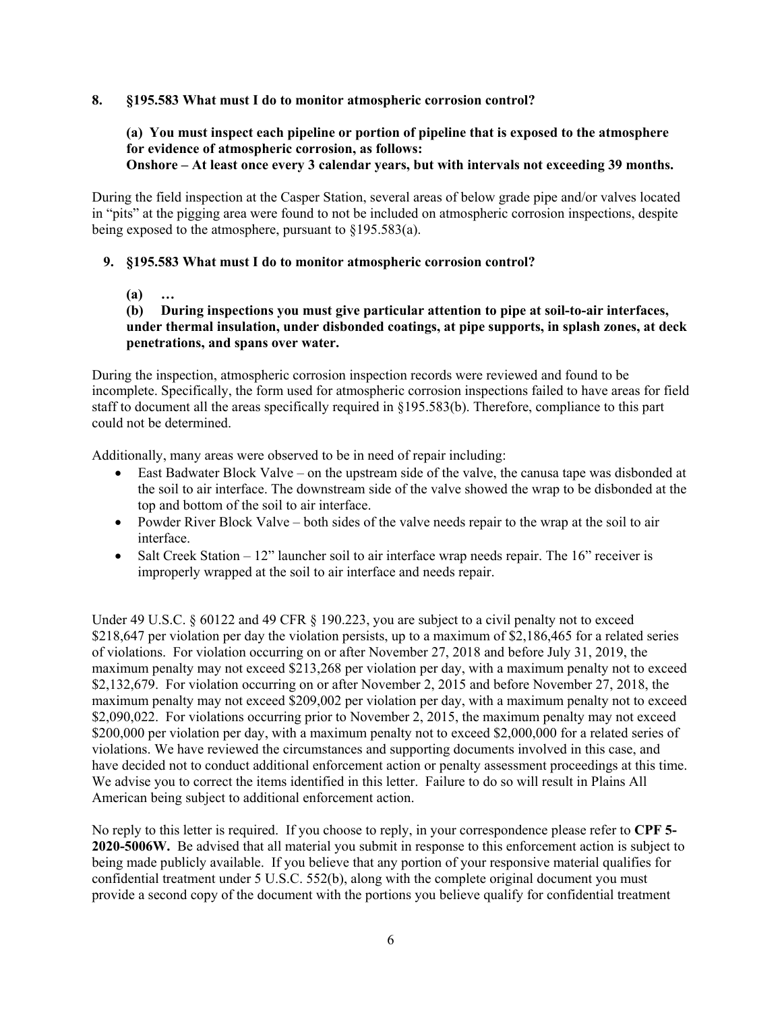### **8. §195.583 What must I do to monitor atmospheric corrosion control?**

#### **(a) You must inspect each pipeline or portion of pipeline that is exposed to the atmosphere for evidence of atmospheric corrosion, as follows: Onshore – At least once every 3 calendar years, but with intervals not exceeding 39 months.**

During the field inspection at the Casper Station, several areas of below grade pipe and/or valves located in "pits" at the pigging area were found to not be included on atmospheric corrosion inspections, despite being exposed to the atmosphere, pursuant to §195.583(a).

## **9. §195.583 What must I do to monitor atmospheric corrosion control?**

**(a) …**

# **(b) During inspections you must give particular attention to pipe at soil-to-air interfaces, under thermal insulation, under disbonded coatings, at pipe supports, in splash zones, at deck penetrations, and spans over water.**

During the inspection, atmospheric corrosion inspection records were reviewed and found to be incomplete. Specifically, the form used for atmospheric corrosion inspections failed to have areas for field staff to document all the areas specifically required in §195.583(b). Therefore, compliance to this part could not be determined.

Additionally, many areas were observed to be in need of repair including:

- East Badwater Block Valve on the upstream side of the valve, the canusa tape was disbonded at the soil to air interface. The downstream side of the valve showed the wrap to be disbonded at the top and bottom of the soil to air interface.
- Powder River Block Valve both sides of the valve needs repair to the wrap at the soil to air interface.
- Salt Creek Station 12" launcher soil to air interface wrap needs repair. The 16" receiver is improperly wrapped at the soil to air interface and needs repair.

Under 49 U.S.C.  $\S 60122$  and 49 CFR  $\S 190.223$ , you are subject to a civil penalty not to exceed \$218,647 per violation per day the violation persists, up to a maximum of \$2,186,465 for a related series of violations. For violation occurring on or after November 27, 2018 and before July 31, 2019, the maximum penalty may not exceed \$213,268 per violation per day, with a maximum penalty not to exceed \$2,132,679. For violation occurring on or after November 2, 2015 and before November 27, 2018, the maximum penalty may not exceed \$209,002 per violation per day, with a maximum penalty not to exceed \$2,090,022. For violations occurring prior to November 2, 2015, the maximum penalty may not exceed \$200,000 per violation per day, with a maximum penalty not to exceed \$2,000,000 for a related series of violations. We have reviewed the circumstances and supporting documents involved in this case, and have decided not to conduct additional enforcement action or penalty assessment proceedings at this time. We advise you to correct the items identified in this letter. Failure to do so will result in Plains All American being subject to additional enforcement action.

No reply to this letter is required. If you choose to reply, in your correspondence please refer to **CPF 5- 2020-5006W.** Be advised that all material you submit in response to this enforcement action is subject to being made publicly available. If you believe that any portion of your responsive material qualifies for confidential treatment under 5 U.S.C. 552(b), along with the complete original document you must provide a second copy of the document with the portions you believe qualify for confidential treatment